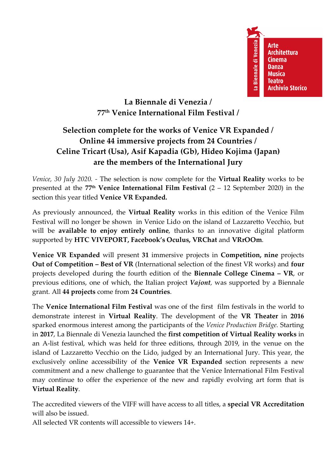La Biennale di Venezia **Arte Architettura Cinema Danza Musica Teatro Archivio Storico** 

## **La Biennale di Venezia / 77th Venice International Film Festival /**

# **Selection complete for the works of Venice VR Expanded / Online 44 immersive projects from 24 Countries / Celine Tricart (Usa), Asif Kapadia (Gb), Hideo Kojima (Japan) are the members of the International Jury**

*Venice, 30 July 2020. -* The selection is now complete for the **Virtual Reality** works to be presented at the **77th Venice International Film Festival** (2 – 12 September 2020) in the section this year titled **Venice VR Expanded.**

As previously announced, the **Virtual Reality** works in this edition of the Venice Film Festival will no longer be shown in Venice Lido on the island of Lazzaretto Vecchio, but will be **available to enjoy entirely online**, thanks to an innovative digital platform supported by **HTC VIVEPORT, Facebook's Oculus, VRChat** and **VRrOOm**.

**Venice VR Expanded** will present **31** immersive projects in **Competition, nine** projects **Out of Competition – Best of VR** (International selection of the finest VR works) and **four**  projects developed during the fourth edition of the **Biennale College Cinema – VR**, or previous editions, one of which, the Italian project *Vajont,* was supported by a Biennale grant. All **44 projects** come from **24 Countries**.

The **Venice International Film Festival** was one of the first film festivals in the world to demonstrate interest in **Virtual Reality**. The development of the **VR Theater** in **2016** sparked enormous interest among the participants of the *Venice Production Bridge.* Starting in **2017**, La Biennale di Venezia launched the **first competition of Virtual Reality works** in an A-list festival, which was held for three editions, through 2019, in the venue on the island of Lazzaretto Vecchio on the Lido, judged by an International Jury. This year, the exclusively online accessibility of the **Venice VR Expanded** section represents a new commitment and a new challenge to guarantee that the Venice International Film Festival may continue to offer the experience of the new and rapidly evolving art form that is **Virtual Reality**.

The accredited viewers of the VIFF will have access to all titles, a **special VR Accreditation** will also be issued.

All selected VR contents will accessible to viewers 14+.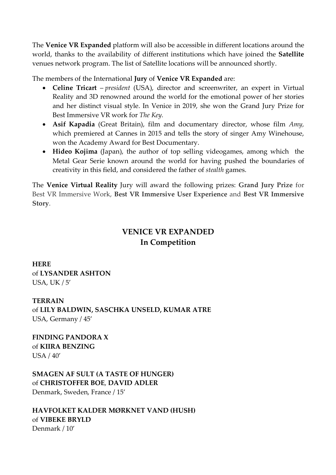The **Venice VR Expanded** platform will also be accessible in different locations around the world, thanks to the availability of different institutions which have joined the **Satellite** venues network program. The list of Satellite locations will be announced shortly.

The members of the International **Jury** of **Venice VR Expanded** are:

- **Celine Tricart**  *president* (USA), director and screenwriter, an expert in Virtual Reality and 3D renowned around the world for the emotional power of her stories and her distinct visual style. In Venice in 2019, she won the Grand Jury Prize for Best Immersive VR work for *The Key.*
- **Asif Kapadia** (Great Britain), film and documentary director, whose film *Amy,*  which premiered at Cannes in 2015 and tells the story of singer Amy Winehouse, won the Academy Award for Best Documentary.
- **Hideo Kojima** (Japan), the author of top selling videogames, among which the Metal Gear Serie known around the world for having pushed the boundaries of creativity in this field, and considered the father of *stealth* games.

The **Venice Virtual Reality** Jury will award the following prizes: **Grand Jury Prize** for Best VR Immersive Work, **Best VR Immersive User Experience** and **Best VR Immersive Story**.

## **VENICE VR EXPANDED In Competition**

**HERE**  of **LYSANDER ASHTON** USA, UK / 5'

**TERRAIN** of **LILY BALDWIN, SASCHKA UNSELD, KUMAR ATRE** USA, Germany / 45'

**FINDING PANDORA X**  of **KIIRA BENZING** USA / 40'

**SMAGEN AF SULT (A TASTE OF HUNGER)** of **CHRISTOFFER BOE**, **DAVID ADLER**

Denmark, Sweden, France / 15'

**HAVFOLKET KALDER MØRKNET VAND (HUSH)**  of **VIBEKE BRYLD** Denmark / 10'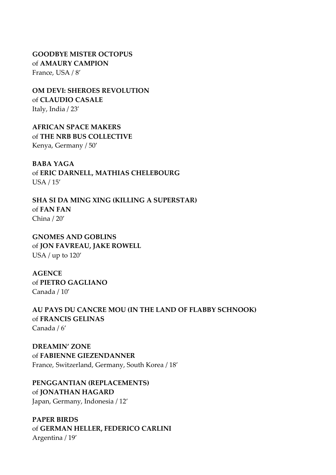**GOODBYE MISTER OCTOPUS** of **AMAURY CAMPION** France, USA / 8'

**OM DEVI: SHEROES REVOLUTION**  of **CLAUDIO CASALE** Italy, India / 23'

**AFRICAN SPACE MAKERS** of **THE NRB BUS COLLECTIVE** Kenya, Germany / 50'

**BABA YAGA**  of **ERIC DARNELL, MATHIAS CHELEBOURG** USA / 15'

**SHA SI DA MING XING (KILLING A SUPERSTAR)**  of **FAN FAN**  China / 20'

**GNOMES AND GOBLINS**  of **JON FAVREAU, JAKE ROWELL** USA / up to 120'

**AGENCE**  of **PIETRO GAGLIANO** Canada / 10'

**AU PAYS DU CANCRE MOU (IN THE LAND OF FLABBY SCHNOOK)** of **FRANCIS GELINAS** Canada / 6'

**DREAMIN' ZONE** of **FABIENNE GIEZENDANNER** France, Switzerland, Germany, South Korea / 18'

**PENGGANTIAN (REPLACEMENTS)** of **JONATHAN HAGARD** Japan, Germany, Indonesia / 12'

**PAPER BIRDS**  of **GERMAN HELLER, FEDERICO CARLINI** Argentina / 19'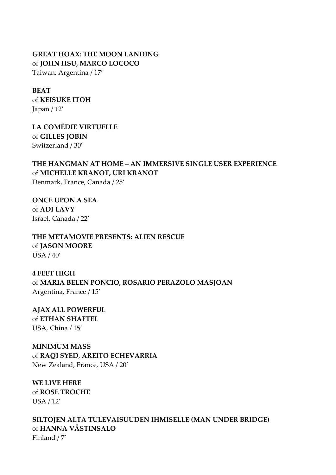### **GREAT HOAX: THE MOON LANDING**  of **JOHN HSU, MARCO LOCOCO**

Taiwan, Argentina / 17'

#### **BEAT**

of **KEISUKE ITOH** Japan / 12'

**LA COMÉDIE VIRTUELLE**  of **GILLES JOBIN** Switzerland / 30'

### **THE HANGMAN AT HOME – AN IMMERSIVE SINGLE USER EXPERIENCE** of **MICHELLE KRANOT, URI KRANOT**

Denmark, France, Canada / 25'

**ONCE UPON A SEA** of **ADI LAVY** Israel, Canada / 22'

**THE METAMOVIE PRESENTS: ALIEN RESCUE**  of **JASON MOORE** USA / 40'

**4 FEET HIGH** of **MARIA BELEN PONCIO, ROSARIO PERAZOLO MASJOAN** Argentina, France / 15'

**AJAX ALL POWERFUL**  of **ETHAN SHAFTEL** USA, China / 15'

#### **MINIMUM MASS** of **RAQI SYED**, **AREITO ECHEVARRIA** New Zealand, France, USA / 20'

**WE LIVE HERE** of **ROSE TROCHE** USA / 12'

**SILTOJEN ALTA TULEVAISUUDEN IHMISELLE (MAN UNDER BRIDGE)** of **HANNA VÄSTINSALO** Finland / 7'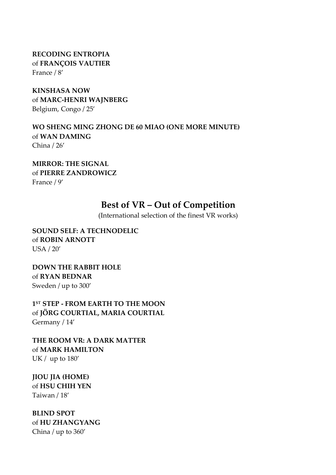**RECODING ENTROPIA** of **FRANÇOIS VAUTIER** France / 8'

**KINSHASA NOW**  of **MARC-HENRI WAJNBERG** Belgium, Congo / 25'

**WO SHENG MING ZHONG DE 60 MIAO (ONE MORE MINUTE)** of **WAN DAMING** China / 26'

**MIRROR: THE SIGNAL** of **PIERRE ZANDROWICZ** France / 9'

## **Best of VR – Out of Competition**

(International selection of the finest VR works)

**SOUND SELF: A TECHNODELIC**  of **ROBIN ARNOTT** USA / 20'

**DOWN THE RABBIT HOLE** of **RYAN BEDNAR** Sweden / up to 300'

**1ST STEP - FROM EARTH TO THE MOON** of **JÖRG COURTIAL, MARIA COURTIAL** Germany / 14'

**THE ROOM VR: A DARK MATTER** of **MARK HAMILTON** UK / up to 180'

**JIOU JIA (HOME)** of **HSU CHIH YEN**  Taiwan / 18'

**BLIND SPOT**  of **HU ZHANGYANG**  China / up to 360'